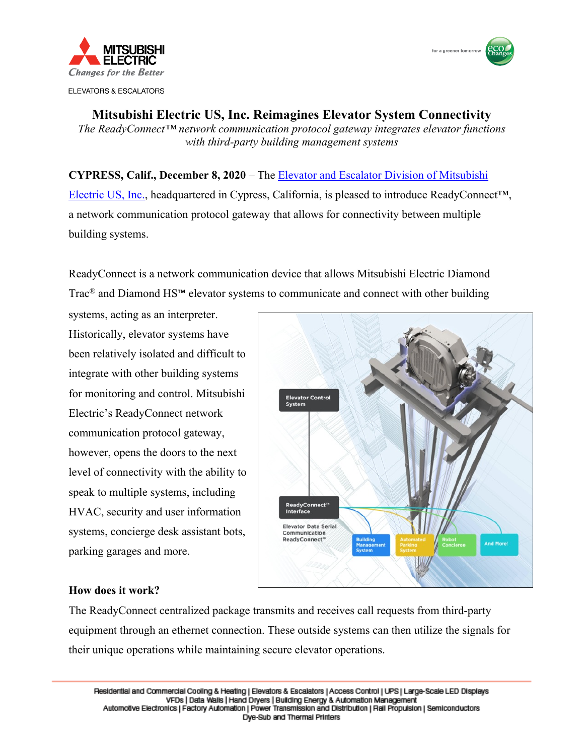

**ELEVATORS & ESCALATORS** 



**Mitsubishi Electric US, Inc. Reimagines Elevator System Connectivity** *The ReadyConnect™ network communication protocol gateway integrates elevator functions with third-party building management systems* 

**CYPRESS, Calif., December 8, 2020** – The Elevator and Escalator Division of Mitsubishi Electric US, Inc., headquartered in Cypress, California, [is pleased to introduce ReadyConne](https://www.mitsubishielevator.com)ct™, a network communication protocol gateway that allows for connectivity between multiple building systems.

ReadyConnect is a network communication device that allows Mitsubishi Electric Diamond Trac® and Diamond HS™ elevator systems to communicate and connect with other building

systems, acting as an interpreter. Historically, elevator systems have been relatively isolated and difficult to integrate with other building systems for monitoring and control. Mitsubishi Electric's ReadyConnect network communication protocol gateway, however, opens the doors to the next level of connectivity with the ability to speak to multiple systems, including HVAC, security and user information systems, concierge desk assistant bots, parking garages and more.



## **How does it work?**

The ReadyConnect centralized package transmits and receives call requests from third-party equipment through an ethernet connection. These outside systems can then utilize the signals for their unique operations while maintaining secure elevator operations.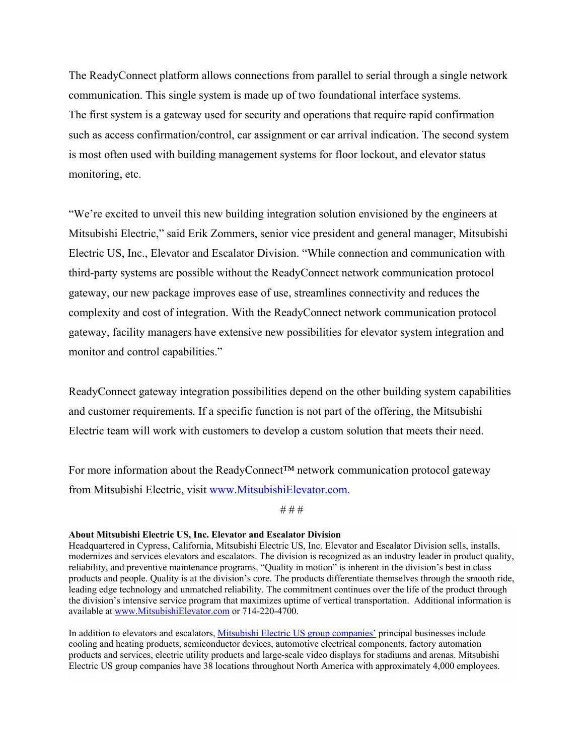The ReadyConnect platform allows connections from parallel to serial through a single network communication. This single system is made up of two foundational interface systems. The first system is a gateway used for security and operations that require rapid confirmation such as access confirmation/control, car assignment or car arrival indication. The second system is most often used with building management systems for floor lockout, and elevator status monitoring, etc.

"We're excited to unveil this new building integration solution envisioned by the engineers at Mitsubishi Electric," said Erik Zommers, senior vice president and general manager, Mitsubishi Electric US, Inc., Elevator and Escalator Division. "While connection and communication with third-party systems are possible without the ReadyConnect network communication protocol gateway, our new package improves ease of use, streamlines connectivity and reduces the complexity and cost of integration. With the ReadyConnect network communication protocol gateway, facility managers have extensive new possibilities for elevator system integration and monitor and control capabilities."

ReadyConnect gateway integration possibilities depend on the other building system capabilities and customer requirements. If a specific function is not part of the offering, the Mitsubishi Electric team will work with customers to develop a custom solution that meets their need.

For more information about the ReadyConnect™ network communication protocol gateway from Mitsubishi Electric, visit [www.MitsubishiElevator.com](https://www.mitsubishielevator.com).

# # #

## **About Mitsubishi Electric US, Inc. Elevator and Escalator Division**

Headquartered in Cypress, California, Mitsubishi Electric US, Inc. Elevator and Escalator Division sells, installs, modernizes and services elevators and escalators. The division is recognized as an industry leader in product quality, reliability, and preventive maintenance programs. "Quality in motion" is inherent in the division's best in class products and people. Quality is at the division's core. The products differentiate themselves through the smooth ride, leading edge technology and unmatched reliability. The commitment continues over the life of the product through the division's intensive service program that maximizes uptime of vertical transportation. Additional information is available at [www.MitsubishiElevator.com](https://www.mitsubishielevator.com) or 714-220-4700.

In addition to elevators and escalators, [Mitsubishi Electric US group companies'](https://us.mitsubishielectric.com/en/) principal businesses include cooling and heating products, semiconductor devices, automotive electrical components, factory automation products and services, electric utility products and large-scale video displays for stadiums and arenas. Mitsubishi Electric US group companies have 38 locations throughout North America with approximately 4,000 employees.